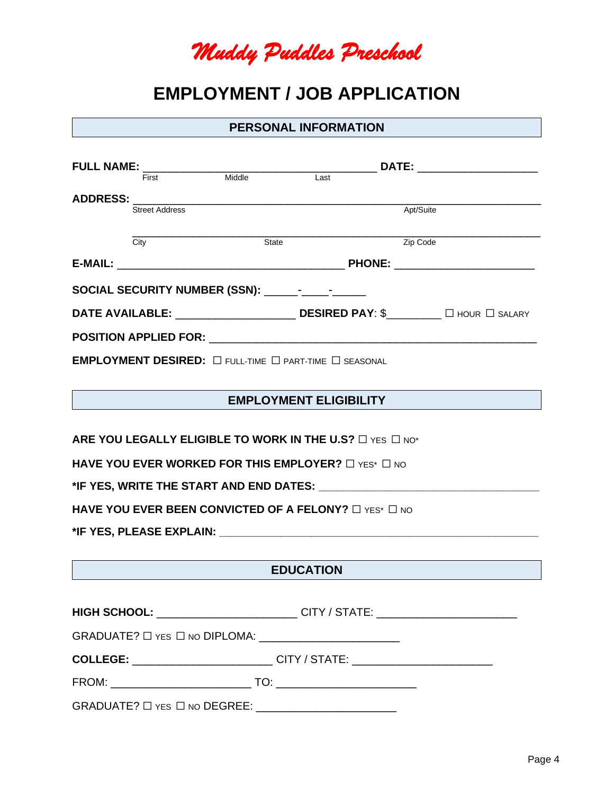*Muddy Puddles Preschool* 

# **EMPLOYMENT / JOB APPLICATION**

#### **PERSONAL INFORMATION**

|                                                                              |                       |                                    |      | DATE: ________________________ |  |  |  |  |
|------------------------------------------------------------------------------|-----------------------|------------------------------------|------|--------------------------------|--|--|--|--|
|                                                                              | First                 | Middle                             | Last |                                |  |  |  |  |
|                                                                              |                       | ADDRESS: _________________________ |      |                                |  |  |  |  |
|                                                                              | <b>Street Address</b> |                                    |      | Apt/Suite                      |  |  |  |  |
|                                                                              |                       |                                    |      |                                |  |  |  |  |
|                                                                              | City                  | State                              |      | Zip Code                       |  |  |  |  |
|                                                                              |                       |                                    |      |                                |  |  |  |  |
|                                                                              |                       |                                    |      |                                |  |  |  |  |
|                                                                              |                       |                                    |      |                                |  |  |  |  |
|                                                                              |                       |                                    |      |                                |  |  |  |  |
| <b>EMPLOYMENT DESIRED:</b> $\Box$ full-time $\Box$ part-time $\Box$ seasonal |                       |                                    |      |                                |  |  |  |  |

## **EMPLOYMENT ELIGIBILITY**

**ARE YOU LEGALLY ELIGIBLE TO WORK IN THE U.S?** □ YES □ NO\*

**HAVE YOU EVER WORKED FOR THIS EMPLOYER?** □ YES\* □ NO

**\*IF YES, WRITE THE START AND END DATES: \_\_\_\_\_\_\_\_\_\_\_\_\_\_\_\_\_\_\_\_\_\_\_\_\_\_\_\_\_\_\_\_\_\_\_\_**

**HAVE YOU EVER BEEN CONVICTED OF A FELONY?** □ YES<sup>\*</sup> □ NO

**\*IF YES, PLEASE EXPLAIN: \_\_\_\_\_\_\_\_\_\_\_\_\_\_\_\_\_\_\_\_\_\_\_\_\_\_\_\_\_\_\_\_\_\_\_\_\_\_\_\_\_\_\_\_\_\_\_\_\_\_\_\_**

#### **EDUCATION**

| HIGH SCHOOL: _______________________                                                                                                                                                                                           | CITY / STATE: ________________________ |  |  |  |  |
|--------------------------------------------------------------------------------------------------------------------------------------------------------------------------------------------------------------------------------|----------------------------------------|--|--|--|--|
|                                                                                                                                                                                                                                |                                        |  |  |  |  |
|                                                                                                                                                                                                                                |                                        |  |  |  |  |
| FROM: The contract of the contract of the contract of the contract of the contract of the contract of the contract of the contract of the contract of the contract of the contract of the contract of the contract of the cont |                                        |  |  |  |  |

GRADUATE? ☐ YES ☐ NO DEGREE: \_\_\_\_\_\_\_\_\_\_\_\_\_\_\_\_\_\_\_\_\_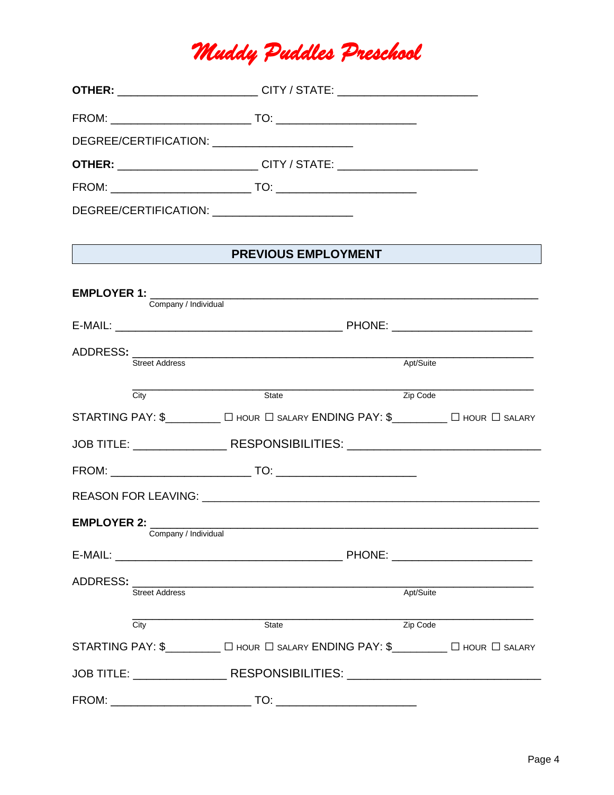# *Muddy Puddles Preschool*

| <b>OTHER:</b> ___________________________CITY / STATE: ______________________________                                       |
|-----------------------------------------------------------------------------------------------------------------------------|
|                                                                                                                             |
| DEGREE/CERTIFICATION: ____________________________                                                                          |
| <b>OTHER:</b> ___________________________CITY / STATE: ______________________________                                       |
|                                                                                                                             |
| DEGREE/CERTIFICATION: ___________________________                                                                           |
|                                                                                                                             |
| <b>PREVIOUS EMPLOYMENT</b>                                                                                                  |
|                                                                                                                             |
|                                                                                                                             |
|                                                                                                                             |
| Apt/Suite                                                                                                                   |
|                                                                                                                             |
| Zip Code<br>State                                                                                                           |
| STARTING PAY: \$_________ O HOUR O SALARY ENDING PAY: \$________ O HOUR O SALARY                                            |
| JOB TITLE: ______________________RESPONSIBILITIES: _____________________________                                            |
|                                                                                                                             |
|                                                                                                                             |
|                                                                                                                             |
| Company / Individual                                                                                                        |
|                                                                                                                             |
|                                                                                                                             |
| ADDRESS: AND ARRIVE TO A STATE OF THE STATE OF THE STATE OF THE STATE OF THE STATE OF THE STATE OF THE STATE O<br>Apt/Suite |
|                                                                                                                             |
| Zip Code<br>State<br>STARTING PAY: \$_________ [ HOUR   SALARY ENDING PAY: \$________ [ HOUR   SALARY                       |
| JOB TITLE: _____________________RESPONSIBILITIES: ______________________________                                            |
|                                                                                                                             |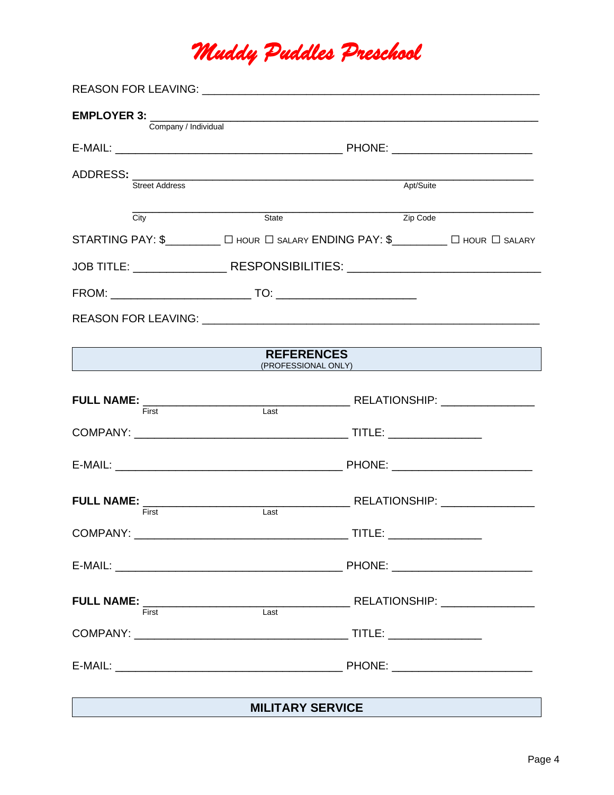# *Muddy Puddles Preschool*

| <b>EMPLOYER 3:</b> | Company / Individual  |                   | <u> 1989 - Johann Harry Harry Harry Harry Harry Harry Harry Harry Harry Harry Harry Harry Harry Harry Harry Harry</u> |  |  |  |
|--------------------|-----------------------|-------------------|-----------------------------------------------------------------------------------------------------------------------|--|--|--|
|                    |                       |                   |                                                                                                                       |  |  |  |
|                    |                       |                   |                                                                                                                       |  |  |  |
|                    | <b>Street Address</b> | Apt/Suite         |                                                                                                                       |  |  |  |
|                    | City                  | State             | Zip Code                                                                                                              |  |  |  |
|                    |                       |                   | STARTING PAY: \$________ [ HOUR   SALARY ENDING PAY: \$_______ [ HOUR   SALARY                                        |  |  |  |
|                    |                       |                   | JOB TITLE: _____________________RESPONSIBILITIES: ______________________________                                      |  |  |  |
|                    |                       |                   |                                                                                                                       |  |  |  |
|                    |                       |                   |                                                                                                                       |  |  |  |
|                    |                       |                   |                                                                                                                       |  |  |  |
|                    |                       | <b>REFERENCES</b> | (PROFESSIONAL ONLY)                                                                                                   |  |  |  |
|                    |                       |                   |                                                                                                                       |  |  |  |
| <b>Example 19</b>  |                       | Last              |                                                                                                                       |  |  |  |
|                    |                       |                   |                                                                                                                       |  |  |  |
|                    |                       |                   |                                                                                                                       |  |  |  |
|                    |                       |                   |                                                                                                                       |  |  |  |
|                    | First                 | Last              |                                                                                                                       |  |  |  |
| <b>COMPANY:</b>    |                       |                   | $\rule{1em}{0.15mm}$ TITLE:                                                                                           |  |  |  |
|                    |                       |                   |                                                                                                                       |  |  |  |
|                    |                       |                   |                                                                                                                       |  |  |  |
|                    |                       |                   |                                                                                                                       |  |  |  |
|                    |                       |                   |                                                                                                                       |  |  |  |
|                    |                       |                   |                                                                                                                       |  |  |  |
|                    |                       |                   |                                                                                                                       |  |  |  |
|                    |                       |                   | <u> 1989 - Andrea Andrew Maria (h. 1989).</u>                                                                         |  |  |  |

## **MILITARY SERVICE**